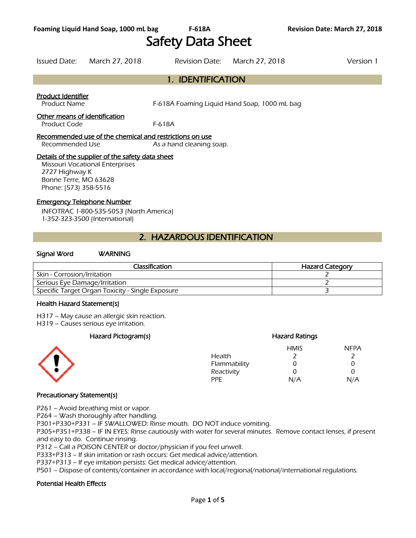# Safety Data Sheet

Issued Date: March 27, 2018 Revision Date: March 27, 2018 Version 1

# 1. IDENTIFICATION

#### Product Identifier

Product Name F-618A Foaming Liquid Hand Soap, 1000 mL bag

#### Other means of identification

Product Code F-618A

#### Recommended use of the chemical and restrictions on use

Recommended Use As a hand cleaning soap.

#### Details of the supplier of the safety data sheet

Missouri Vocational Enterprises 2727 Highway K Bonne Terre, MO 63628 Phone: (573) 358-5516

#### Emergency Telephone Number

INFOTRAC 1-800-535-5053 (North America) 1-352-323-3500 (International)

# 2. HAZARDOUS IDENTIFICATION

#### Signal Word WARNING

| Classification                                   | <b>Hazard Category</b> |  |  |
|--------------------------------------------------|------------------------|--|--|
| Skin - Corrosion/Irritation                      |                        |  |  |
| Serious Eye Damage/Irritation                    |                        |  |  |
| Specific Target Organ Toxicity - Single Exposure |                        |  |  |
|                                                  |                        |  |  |

#### Health Hazard Statement(s)

H317 – May cause an allergic skin reaction.

H319 – Causes serious eye irritation.

#### Hazard Pictogram(s) extending the extending Hazard Ratings



#### HMIS NFPA Health 2 2 Flammability 0 0 0 Reactivity 0 0 0 PPE N/A N/A

#### Precautionary Statement(s)

P261 – Avoid breathing mist or vapor.

P264 – Wash thoroughly after handling.

P301+P330+P331 – IF SWALLOWED: Rinse mouth. DO NOT induce vomiting.

P305+P351+P338 – IF IN EYES: Rinse cautiously with water for several minutes. Remove contact lenses, if present and easy to do. Continue rinsing.

P312 – Call a POISON CENTER or doctor/physician if you feel unwell.

P333+P313 – If skin irritation or rash occurs: Get medical advice/attention.

P337+P313 – If eye irritation persists: Get medical advice/attention.

P501 – Dispose of contents/container in accordance with local/regional/national/international regulations.

#### Potential Health Effects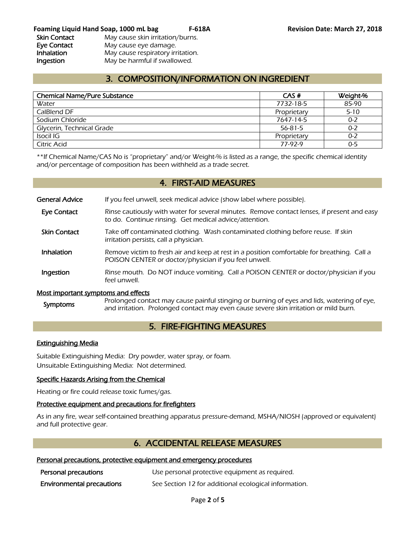# 3. COMPOSITION/INFORMATION ON INGREDIENT

| <b>Chemical Name/Pure Substance</b> | CAS#        | Weight-% |
|-------------------------------------|-------------|----------|
| Water                               | 7732-18-5   | 85-90    |
| CalBlend DF                         | Proprietary | $5 - 10$ |
| Sodium Chloride                     | 7647-14-5   | $0 - 2$  |
| Glycerin, Technical Grade           | 56-81-5     | $0 - 2$  |
| Isocil IG                           | Proprietary | $0 - 2$  |
| Citric Acid                         | 77-97-9     | $0 - 5$  |
|                                     |             |          |

\*\*If Chemical Name/CAS No is "proprietary" and/or Weight-% is listed as a range, the specific chemical identity and/or percentage of composition has been withheld as a trade secret.

### 4. FIRST-AID MEASURES

General Advice If you feel unwell, seek medical advice (show label where possible).

- Eye Contact Rinse cautiously with water for several minutes. Remove contact lenses, if present and easy to do. Continue rinsing. Get medical advice/attention.
- Skin Contact Take off contaminated clothing. Wash contaminated clothing before reuse. If skin irritation persists, call a physician.
- **Inhalation** Remove victim to fresh air and keep at rest in a position comfortable for breathing. Call a POISON CENTER or doctor/physician if you feel unwell.
- **Ingestion** Rinse mouth. Do NOT induce vomiting. Call a POISON CENTER or doctor/physician if you feel unwell.

#### Most important symptoms and effects

Symptoms Prolonged contact may cause painful stinging or burning of eyes and lids, watering of eye, and irritation. Prolonged contact may even cause severe skin irritation or mild burn.

# 5. FIRE-FIGHTING MEASURES

#### Extinguishing Media

Suitable Extinguishing Media: Dry powder, water spray, or foam. Unsuitable Extinguishing Media: Not determined.

#### Specific Hazards Arising from the Chemical

Heating or fire could release toxic fumes/gas.

#### Protective equipment and precautions for firefighters

As in any fire, wear self-contained breathing apparatus pressure-demand, MSHA/NIOSH (approved or equivalent) and full protective gear.

# 6. ACCIDENTAL RELEASE MEASURES

#### Personal precautions, protective equipment and emergency procedures

| Personal precautions             | Use personal protective equipment as required.        |
|----------------------------------|-------------------------------------------------------|
| <b>Environmental precautions</b> | See Section 12 for additional ecological information. |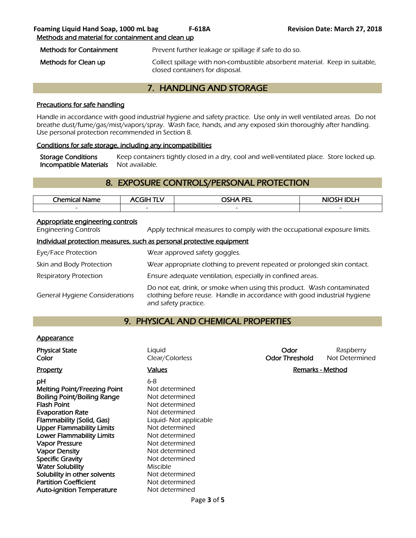| <b>Methods for Containment</b> | Prevent further leakage or spillage if safe to do so.                       |  |
|--------------------------------|-----------------------------------------------------------------------------|--|
| Methods for Clean up           | Collect spillage with non-combustible absorbent material. Keep in suitable, |  |

# 7. HANDLING AND STORAGE

closed containers for disposal.

#### Precautions for safe handling

Handle in accordance with good industrial hygiene and safety practice. Use only in well ventilated areas. Do not breathe dust/fume/gas/mist/vapors/spray. Wash face, hands, and any exposed skin thoroughly after handling. Use personal protection recommended in Section 8.

#### Conditions for safe storage, including any incompatibilities

Storage Conditions Keep containers tightly closed in a dry, cool and well-ventilated place. Store locked up. Incompatible Materials Not available.

# 8. EXPOSURE CONTROLS/PERSONAL PROTECTION

| Chemical<br>Name | - 1 1 -                  | <b>OSHA PEL</b>          | <b>NIOS!</b><br>л<br>.LM |
|------------------|--------------------------|--------------------------|--------------------------|
| $\sim$           | $\overline{\phantom{0}}$ | $\overline{\phantom{0}}$ | $\sim$                   |
|                  |                          |                          |                          |

#### Appropriate engineering controls

Engineering Controls Apply technical measures to comply with the occupational exposure limits.

#### Individual protection measures, such as personal protective equipment

| Eye/Face Protection                   | Wear approved safety goggles.                                                                                                                                              |
|---------------------------------------|----------------------------------------------------------------------------------------------------------------------------------------------------------------------------|
| Skin and Body Protection              | Wear appropriate clothing to prevent repeated or prolonged skin contact.                                                                                                   |
| Respiratory Protection                | Ensure adequate ventilation, especially in confined areas.                                                                                                                 |
| <b>General Hygiene Considerations</b> | Do not eat, drink, or smoke when using this product. Wash contaminated<br>clothing before reuse. Handle in accordance with good industrial hygiene<br>and safety practice. |

# 9. PHYSICAL AND CHEMICAL PROPERTIES

#### **Appearance**

| <b>Physical State</b><br>Color                                                                                                                                                                                                                                                                                                               | Liguid<br>Clear/Colorless                                                                                                                                                                                       | Odor<br><b>Odor Threshold</b> | Raspberry<br>Not Determined |
|----------------------------------------------------------------------------------------------------------------------------------------------------------------------------------------------------------------------------------------------------------------------------------------------------------------------------------------------|-----------------------------------------------------------------------------------------------------------------------------------------------------------------------------------------------------------------|-------------------------------|-----------------------------|
| Property                                                                                                                                                                                                                                                                                                                                     | <b>Values</b>                                                                                                                                                                                                   | Remarks - Method              |                             |
| рH<br><b>Melting Point/Freezing Point</b><br><b>Boiling Point/Boiling Range</b><br><b>Flash Point</b><br><b>Evaporation Rate</b><br>Flammability (Solid, Gas)<br><b>Upper Flammability Limits</b><br><b>Lower Flammability Limits</b><br><b>Vapor Pressure</b><br><b>Vapor Density</b><br><b>Specific Gravity</b><br><b>Water Solubility</b> | $6 - 8$<br>Not determined<br>Not determined<br>Not determined<br>Not determined<br>Liquid- Not applicable<br>Not determined<br>Not determined<br>Not determined<br>Not determined<br>Not determined<br>Miscible |                               |                             |
| Solubility in other solvents                                                                                                                                                                                                                                                                                                                 | Not determined                                                                                                                                                                                                  |                               |                             |
| <b>Partition Coefficient</b>                                                                                                                                                                                                                                                                                                                 | Not determined                                                                                                                                                                                                  |                               |                             |
| <b>Auto-ignition Temperature</b>                                                                                                                                                                                                                                                                                                             | Not determined                                                                                                                                                                                                  |                               |                             |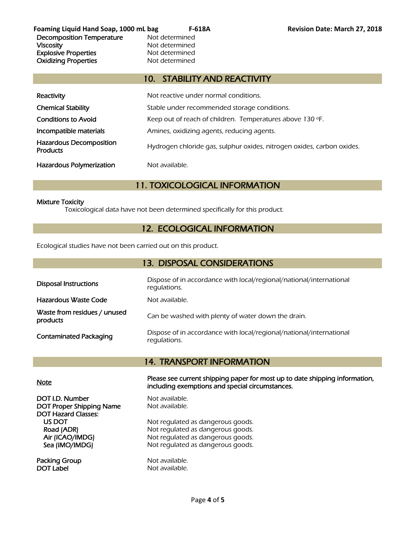**Foaming Liquid Hand Soap, 1000 mL bag F-618A Revision Date: March 27, 2018** Decomposition Temperature Mot determined Viscosity **Not determined** Explosive Properties<br>
Oxidizing Properties<br>
Oxidizing Properties<br>
Not determined **Oxidizing Properties** 

# 10. STABILITY AND REACTIVITY

| Reactivity                                        | Not reactive under normal conditions.                                  |
|---------------------------------------------------|------------------------------------------------------------------------|
| <b>Chemical Stability</b>                         | Stable under recommended storage conditions.                           |
| <b>Conditions to Avoid</b>                        | Keep out of reach of children. Temperatures above 130 °F.              |
| Incompatible materials                            | Amines, oxidizing agents, reducing agents.                             |
| <b>Hazardous Decomposition</b><br><b>Products</b> | Hydrogen chloride gas, sulphur oxides, nitrogen oxides, carbon oxides. |
| <b>Hazardous Polymerization</b>                   | Not available.                                                         |

# 11. TOXICOLOGICAL INFORMATION

#### Mixture Toxicity

Toxicological data have not been determined specifically for this product.

# 12. ECOLOGICAL INFORMATION

Ecological studies have not been carried out on this product.

| 13. DISPOSAL CONSIDERATIONS              |                                                                                     |  |  |  |
|------------------------------------------|-------------------------------------------------------------------------------------|--|--|--|
| <b>Disposal Instructions</b>             | Dispose of in accordance with local/regional/national/international<br>requlations. |  |  |  |
| Hazardous Waste Code                     | Not available.                                                                      |  |  |  |
| Waste from residues / unused<br>products | Can be washed with plenty of water down the drain.                                  |  |  |  |
| <b>Contaminated Packaging</b>            | Dispose of in accordance with local/regional/national/international<br>requlations. |  |  |  |

# 14. TRANSPORT INFORMATION

DOT I.D. Number Not available. DOT Proper Shipping Name Not available. DOT Hazard Classes:

Packing Group Not available. DOT Label Not available.

Note Please see current shipping paper for most up to date shipping information, including exemptions and special circumstances.

US DOT Not regulated as dangerous goods.<br>
Road (ADR) Not regulated as dangerous goods. Not regulated as dangerous goods. Air (ICAO/IMDG) Not regulated as dangerous goods. Sea (IMO/IMDG) Not regulated as dangerous goods.